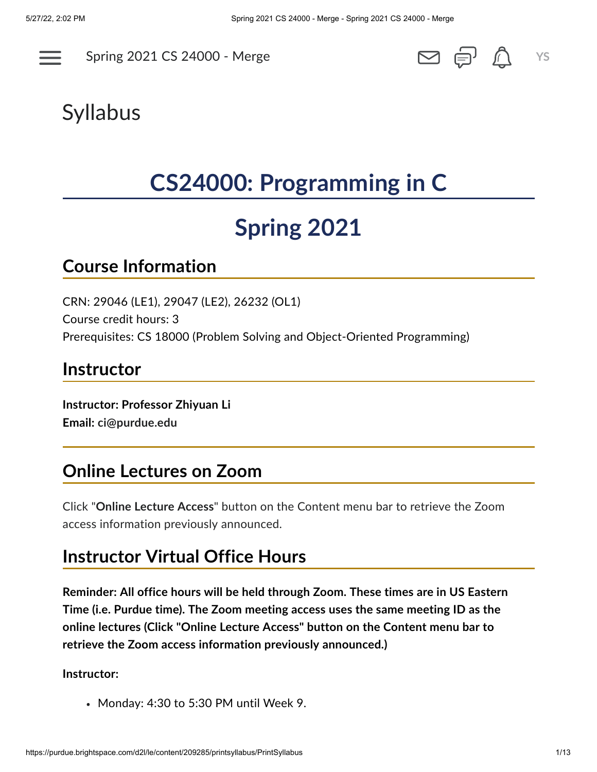

Spring 2021 CS [24000](https://purdue.brightspace.com/d2l/home/209285) - Merge **<u>●</u> ●** ● ● ● ● ● ● ● ● → → ×S





# Syllabus

# **CS24000: Programming in C**

# **Spring 2021**

#### **Course Information**

CRN: 29046 (LE1), 29047 (LE2), 26232 (OL1) Course credit hours: 3 Prerequisites: CS 18000 (Problem Solving and Object-Oriented Programming)

#### **Instructor**

**Instructor: Professor Zhiyuan Li Email: [ci@purdue.edu](mailto:ci@purdue.edu)**

#### **Online Lectures on Zoom**

Click "**Online Lecture Access**" button on the Content menu bar to retrieve the Zoom access information previously announced.

#### **Instructor Virtual Office Hours**

**Reminder: All office hours will be held through Zoom. These times are in US Eastern Time (i.e. Purdue time). The Zoom meeting access uses the same meeting ID as the online lectures (Click "Online Lecture Access" button on the Content menu bar to retrieve the Zoom access information previously announced.)**

#### **Instructor:**

Monday: 4:30 to 5:30 PM until Week 9.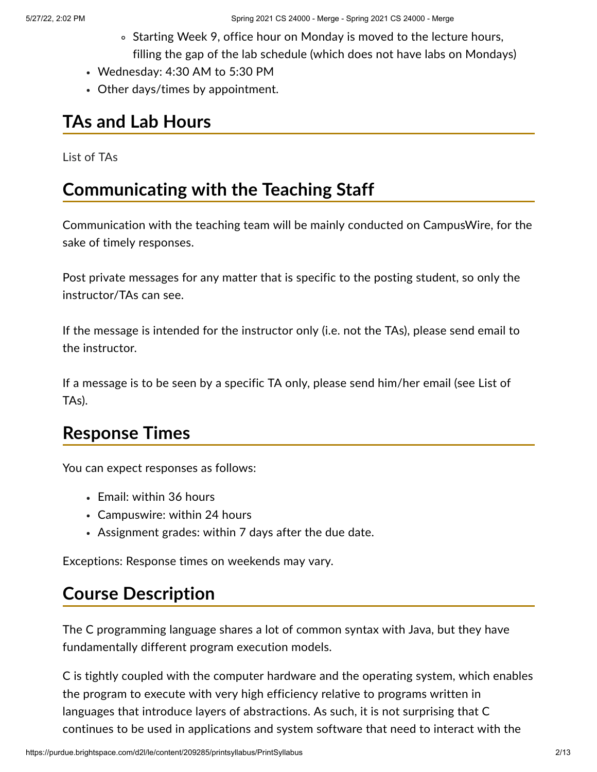- Starting Week 9, office hour on Monday is moved to the lecture hours, filling the gap of the lab schedule (which does not have labs on Mondays)
- Wednesday: 4:30 AM to 5:30 PM
- Other days/times by appointment.

#### **TAs and Lab Hours**

List of [TAs](https://purdue.brightspace.com/d2l/common/dialogs/quickLink/quickLink.d2l?ou=209285&type=content&rcode=354644E0-4CD8-419D-A32F-4E78D8778E5C-2055664)

#### **Communicating with the Teaching Staff**

Communication with the teaching team will be mainly conducted on CampusWire, for the sake of timely responses.

Post private messages for any matter that is specific to the posting student, so only the instructor/TAs can see.

If the message is intended for the instructor only (i.e. not the TAs), please send email to the instructor.

If a message is to be seen by a specific TA only, please send him/her email (see List of TAs).

## **Response Times**

You can expect responses as follows:

- Email: within 36 hours
- Campuswire: within 24 hours
- Assignment grades: within 7 days after the due date.

Exceptions: Response times on weekends may vary.

#### **Course Description**

The C programming language shares a lot of common syntax with Java, but they have fundamentally different program execution models.

C is tightly coupled with the computer hardware and the operating system, which enables the program to execute with very high efficiency relative to programs written in languages that introduce layers of abstractions. As such, it is not surprising that C continues to be used in applications and system software that need to interact with the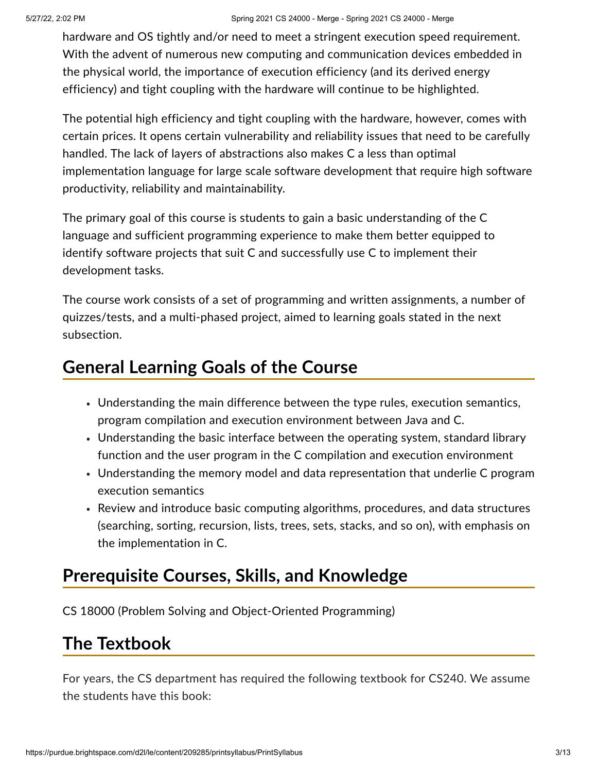hardware and OS tightly and/or need to meet a stringent execution speed requirement. With the advent of numerous new computing and communication devices embedded in the physical world, the importance of execution efficiency (and its derived energy efficiency) and tight coupling with the hardware will continue to be highlighted.

The potential high efficiency and tight coupling with the hardware, however, comes with certain prices. It opens certain vulnerability and reliability issues that need to be carefully handled. The lack of layers of abstractions also makes C a less than optimal implementation language for large scale software development that require high software productivity, reliability and maintainability.

The primary goal of this course is students to gain a basic understanding of the C language and sufficient programming experience to make them better equipped to identify software projects that suit C and successfully use C to implement their development tasks.

The course work consists of a set of programming and written assignments, a number of quizzes/tests, and a multi-phased project, aimed to learning goals stated in the next subsection.

#### **General Learning Goals of the Course**

- Understanding the main difference between the type rules, execution semantics, program compilation and execution environment between Java and C.
- Understanding the basic interface between the operating system, standard library function and the user program in the C compilation and execution environment
- Understanding the memory model and data representation that underlie C program execution semantics
- Review and introduce basic computing algorithms, procedures, and data structures (searching, sorting, recursion, lists, trees, sets, stacks, and so on), with emphasis on the implementation in C.

## **Prerequisite Courses, Skills, and Knowledge**

CS 18000 (Problem Solving and Object-Oriented Programming)

# **The Textbook**

For years, the CS department has required the following textbook for CS240. We assume the students have this book: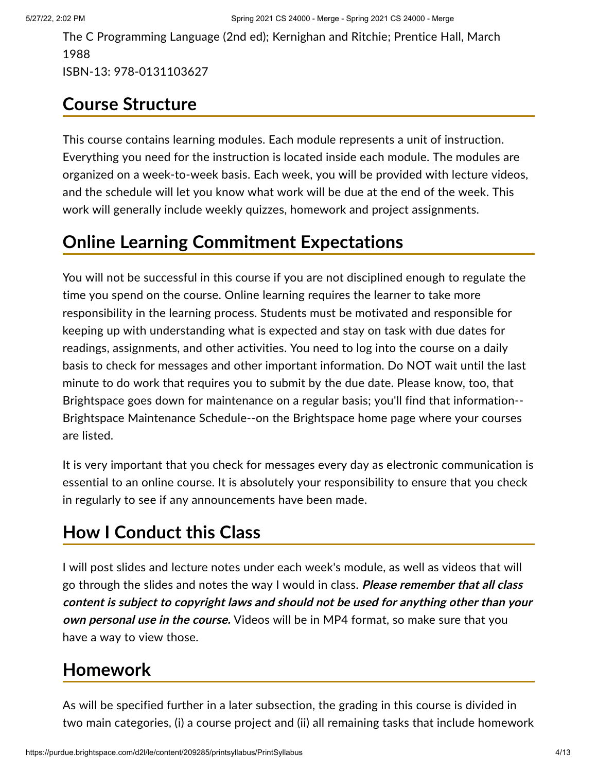The C Programming Language (2nd ed); Kernighan and Ritchie; Prentice Hall, March 1988 ISBN-13: 978-0131103627

# **Course Structure**

This course contains learning modules. Each module represents a unit of instruction. Everything you need for the instruction is located inside each module. The modules are organized on a week-to-week basis. Each week, you will be provided with lecture videos, and the schedule will let you know what work will be due at the end of the week. This work will generally include weekly quizzes, homework and project assignments.

# **Online Learning Commitment Expectations**

You will not be successful in this course if you are not disciplined enough to regulate the time you spend on the course. Online learning requires the learner to take more responsibility in the learning process. Students must be motivated and responsible for keeping up with understanding what is expected and stay on task with due dates for readings, assignments, and other activities. You need to log into the course on a daily basis to check for messages and other important information. Do NOT wait until the last minute to do work that requires you to submit by the due date. Please know, too, that Brightspace goes down for maintenance on a regular basis; you'll find that information-- Brightspace Maintenance Schedule--on the Brightspace home page where your courses are listed.

It is very important that you check for messages every day as electronic communication is essential to an online course. It is absolutely your responsibility to ensure that you check in regularly to see if any announcements have been made.

# **How I Conduct this Class**

I will post slides and lecture notes under each week's module, as well as videos that will go through the slides and notes the way I would in class. **Please remember that all class content is subject to copyright laws and should not be used for anything other than your own personal use in the course.** Videos will be in MP4 format, so make sure that you have a way to view those.

# **Homework**

As will be specified further in a later subsection, the grading in this course is divided in two main categories, (i) a course project and (ii) all remaining tasks that include homework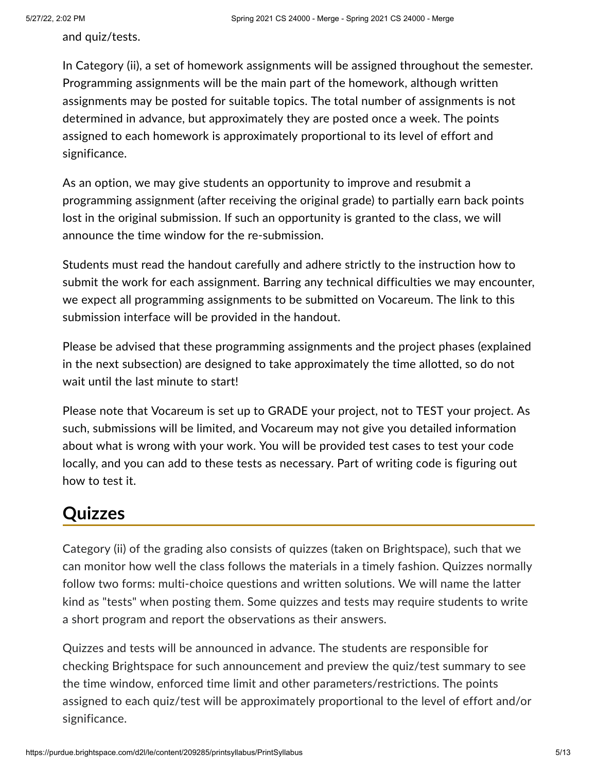and quiz/tests.

In Category (ii), a set of homework assignments will be assigned throughout the semester. Programming assignments will be the main part of the homework, although written assignments may be posted for suitable topics. The total number of assignments is not determined in advance, but approximately they are posted once a week. The points assigned to each homework is approximately proportional to its level of effort and significance.

As an option, we may give students an opportunity to improve and resubmit a programming assignment (after receiving the original grade) to partially earn back points lost in the original submission. If such an opportunity is granted to the class, we will announce the time window for the re-submission.

Students must read the handout carefully and adhere strictly to the instruction how to submit the work for each assignment. Barring any technical difficulties we may encounter, we expect all programming assignments to be submitted on Vocareum. The link to this submission interface will be provided in the handout.

Please be advised that these programming assignments and the project phases (explained in the next subsection) are designed to take approximately the time allotted, so do not wait until the last minute to start!

Please note that Vocareum is set up to GRADE your project, not to TEST your project. As such, submissions will be limited, and Vocareum may not give you detailed information about what is wrong with your work. You will be provided test cases to test your code locally, and you can add to these tests as necessary. Part of writing code is figuring out how to test it.

#### **Quizzes**

Category (ii) of the grading also consists of quizzes (taken on Brightspace), such that we can monitor how well the class follows the materials in a timely fashion. Quizzes normally follow two forms: multi-choice questions and written solutions. We will name the latter kind as "tests" when posting them. Some quizzes and tests may require students to write a short program and report the observations as their answers.

Quizzes and tests will be announced in advance. The students are responsible for checking Brightspace for such announcement and preview the quiz/test summary to see the time window, enforced time limit and other parameters/restrictions. The points assigned to each quiz/test will be approximately proportional to the level of effort and/or significance.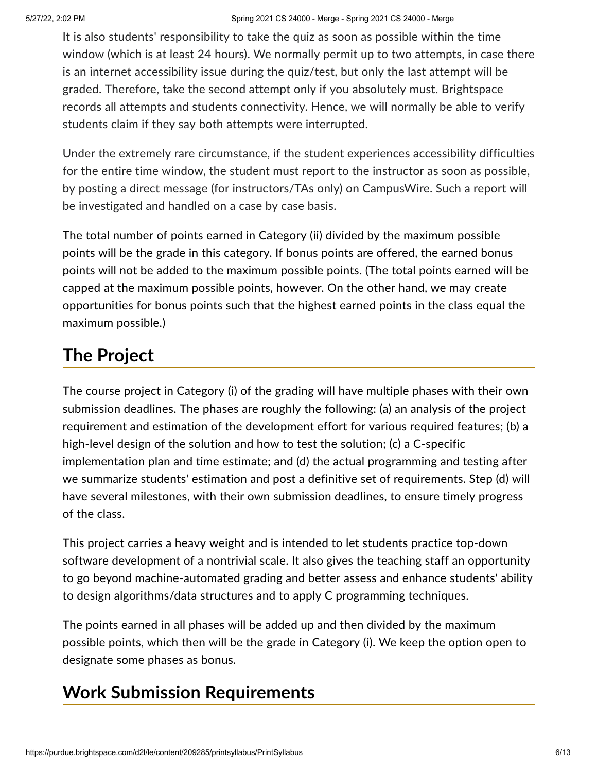It is also students' responsibility to take the quiz as soon as possible within the time window (which is at least 24 hours). We normally permit up to two attempts, in case there is an internet accessibility issue during the quiz/test, but only the last attempt will be graded. Therefore, take the second attempt only if you absolutely must. Brightspace records all attempts and students connectivity. Hence, we will normally be able to verify students claim if they say both attempts were interrupted.

Under the extremely rare circumstance, if the student experiences accessibility difficulties for the entire time window, the student must report to the instructor as soon as possible, by posting a direct message (for instructors/TAs only) on CampusWire. Such a report will be investigated and handled on a case by case basis.

The total number of points earned in Category (ii) divided by the maximum possible points will be the grade in this category. If bonus points are offered, the earned bonus points will not be added to the maximum possible points. (The total points earned will be capped at the maximum possible points, however. On the other hand, we may create opportunities for bonus points such that the highest earned points in the class equal the maximum possible.)

# **The Project**

The course project in Category (i) of the grading will have multiple phases with their own submission deadlines. The phases are roughly the following: (a) an analysis of the project requirement and estimation of the development effort for various required features; (b) a high-level design of the solution and how to test the solution; (c) a C-specific implementation plan and time estimate; and (d) the actual programming and testing after we summarize students' estimation and post a definitive set of requirements. Step (d) will have several milestones, with their own submission deadlines, to ensure timely progress of the class.

This project carries a heavy weight and is intended to let students practice top-down software development of a nontrivial scale. It also gives the teaching staff an opportunity to go beyond machine-automated grading and better assess and enhance students' ability to design algorithms/data structures and to apply C programming techniques.

The points earned in all phases will be added up and then divided by the maximum possible points, which then will be the grade in Category (i). We keep the option open to designate some phases as bonus.

## **Work Submission Requirements**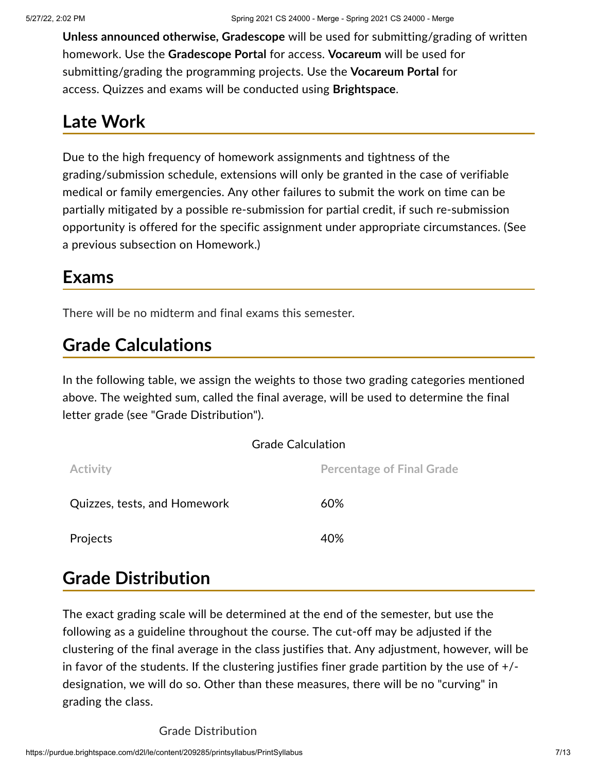**Unless announced otherwise, Gradescope** will be used for submitting/grading of written homework. Use the **Gradescope Portal** for access. **Vocareum** will be used for submitting/grading the programming projects. Use the **Vocareum Portal** for access. Quizzes and exams will be conducted using **Brightspace**.

## **Late Work**

Due to the high frequency of homework assignments and tightness of the grading/submission schedule, extensions will only be granted in the case of verifiable medical or family emergencies. Any other failures to submit the work on time can be partially mitigated by a possible re-submission for partial credit, if such re-submission opportunity is offered for the specific assignment under appropriate circumstances. (See a previous subsection on Homework.)

#### **Exams**

There will be no midterm and final exams this semester.

## **Grade Calculations**

In the following table, we assign the weights to those two grading categories mentioned above. The weighted sum, called the final average, will be used to determine the final letter grade (see "Grade Distribution").

|                              | <b>Grade Calculation</b>         |  |  |
|------------------------------|----------------------------------|--|--|
| Activity                     | <b>Percentage of Final Grade</b> |  |  |
| Quizzes, tests, and Homework | 60%                              |  |  |
| Projects                     | 40%                              |  |  |

## **Grade Distribution**

The exact grading scale will be determined at the end of the semester, but use the following as a guideline throughout the course. The cut-off may be adjusted if the clustering of the final average in the class justifies that. Any adjustment, however, will be in favor of the students. If the clustering justifies finer grade partition by the use of +/ designation, we will do so. Other than these measures, there will be no "curving" in grading the class.

Grade Distribution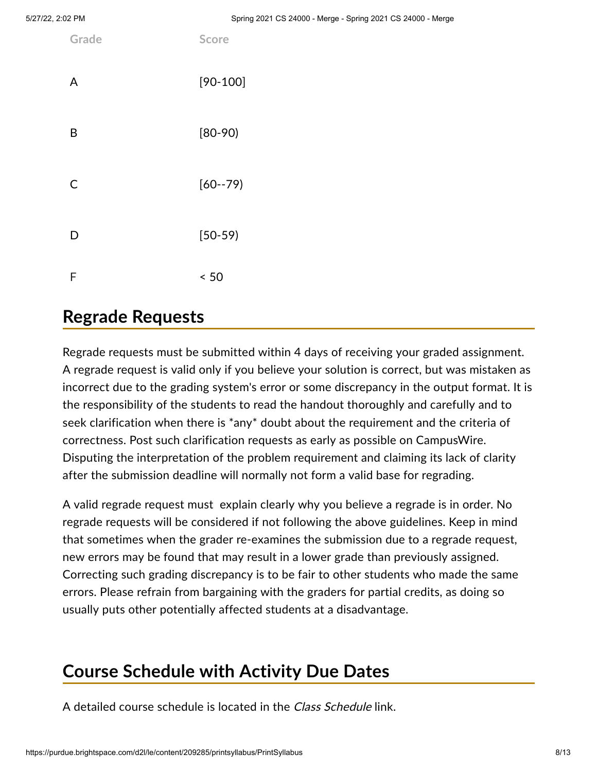| Grade | Score       |
|-------|-------------|
| A     | $[90-100]$  |
| B     | $[80-90]$   |
| C     | $[60 - 79]$ |
| D     | $[50-59]$   |
| F     | < 50        |

#### **Regrade Requests**

Regrade requests must be submitted within 4 days of receiving your graded assignment. A regrade request is valid only if you believe your solution is correct, but was mistaken as incorrect due to the grading system's error or some discrepancy in the output format. It is the responsibility of the students to read the handout thoroughly and carefully and to seek clarification when there is \*any\* doubt about the requirement and the criteria of correctness. Post such clarification requests as early as possible on CampusWire. Disputing the interpretation of the problem requirement and claiming its lack of clarity after the submission deadline will normally not form a valid base for regrading.

A valid regrade request must explain clearly why you believe a regrade is in order. No regrade requests will be considered if not following the above guidelines. Keep in mind that sometimes when the grader re-examines the submission due to a regrade request, new errors may be found that may result in a lower grade than previously assigned. Correcting such grading discrepancy is to be fair to other students who made the same errors. Please refrain from bargaining with the graders for partial credits, as doing so usually puts other potentially affected students at a disadvantage.

# **Course Schedule with Activity Due Dates**

A detailed course schedule is located in the Class Schedule link.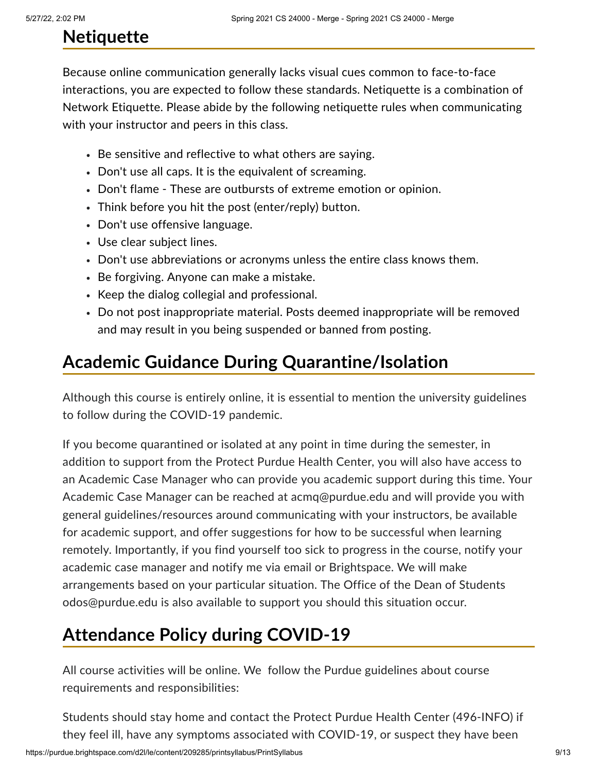# **Netiquette**

Because online communication generally lacks visual cues common to face-to-face interactions, you are expected to follow these standards. Netiquette is a combination of Network Etiquette. Please abide by the following netiquette rules when communicating with your instructor and peers in this class.

- Be sensitive and reflective to what others are saying.
- Don't use all caps. It is the equivalent of screaming.
- Don't flame These are outbursts of extreme emotion or opinion.
- Think before you hit the post (enter/reply) button.
- Don't use offensive language.
- Use clear subject lines.
- Don't use abbreviations or acronyms unless the entire class knows them.
- Be forgiving. Anyone can make a mistake.
- Keep the dialog collegial and professional.
- Do not post inappropriate material. Posts deemed inappropriate will be removed and may result in you being suspended or banned from posting.

# **Academic Guidance During Quarantine/Isolation**

Although this course is entirely online, it is essential to mention the university guidelines to follow during the COVID-19 pandemic.

If you become quarantined or isolated at any point in time during the semester, in addition to support from the Protect Purdue Health Center, you will also have access to an Academic Case Manager who can provide you academic support during this time. Your Academic Case Manager can be reached at [acmq@purdue.edu](mailto:acmq@purdue.edu) and will provide you with general guidelines/resources around communicating with your instructors, be available for academic support, and offer suggestions for how to be successful when learning remotely. Importantly, if you find yourself too sick to progress in the course, notify your academic case manager and notify me via email or Brightspace. We will make arrangements based on your particular situation. The Office of the Dean of Students odos@purdue.edu is also available to support you should this situation occur.

# **Attendance Policy during COVID-19**

All course activities will be online. We follow the Purdue guidelines about course requirements and responsibilities:

Students should stay home and contact the Protect Purdue Health Center (496-INFO) if they feel ill, have any symptoms associated with COVID-19, or suspect they have been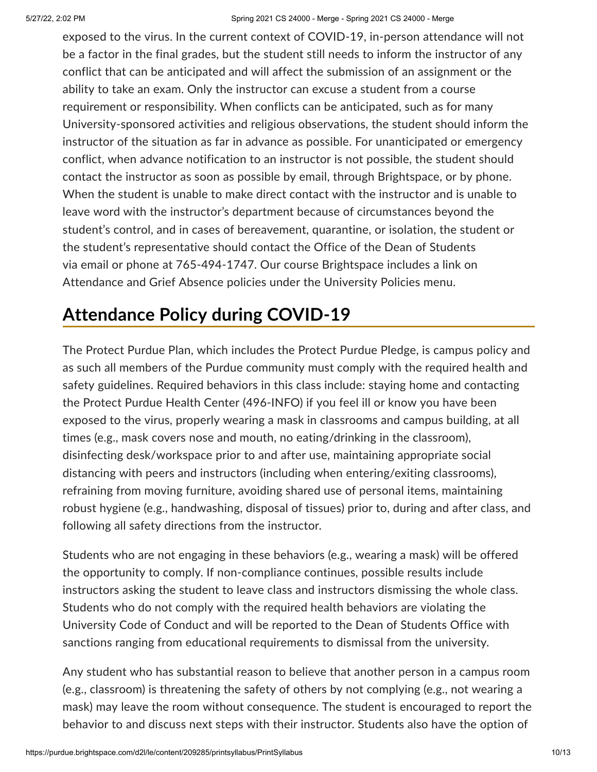exposed to the virus. In the current context of COVID-19, in-person attendance will not be a factor in the final grades, but the student still needs to inform the instructor of any conflict that can be anticipated and will affect the submission of an assignment or the ability to take an exam. Only the instructor can excuse a student from a course requirement or responsibility. When conflicts can be anticipated, such as for many University-sponsored activities and religious observations, the student should inform the instructor of the situation as far in advance as possible. For unanticipated or emergency conflict, when advance notification to an instructor is not possible, the student should contact the instructor as soon as possible by email, through Brightspace, or by phone. When the student is unable to make direct contact with the instructor and is unable to leave word with the instructor's department because of circumstances beyond the student's control, and in cases of bereavement, quarantine, or isolation, the student or the student's representative should contact the Office of the Dean of Students via [email](mailto:odos@purdue.edu%20?subject=Student%20Bereavement%20Needs) or phone at 765-494-1747. Our course Brightspace includes a link on Attendance and Grief Absence policies under the University Policies menu.

## **Attendance Policy during COVID-19**

The [Protect](https://protect.purdue.edu/plan/) Purdue Plan, which includes the [Protect](https://protect.purdue.edu/pledge/?_ga=2.210401429.1213937682.1590527202-1814553957.1589408073) Purdue Pledge, is campus policy and as such all members of the Purdue community must comply with the required health and safety guidelines. Required behaviors in this class include: staying home and contacting the Protect Purdue Health Center (496-INFO) if you feel ill or know you have been exposed to the virus, properly wearing a mask in [classrooms](https://protect.purdue.edu/updates/face-covering-protocols/) and campus building, at all times (e.g., mask covers nose and mouth, no eating/drinking in the classroom), disinfecting desk/workspace prior to and after use, maintaining appropriate social distancing with peers and instructors (including when entering/exiting classrooms), refraining from moving furniture, avoiding shared use of personal items, maintaining robust hygiene (e.g., handwashing, disposal of tissues) prior to, during and after class, and following all safety directions from the instructor.

Students who are not engaging in these behaviors (e.g., wearing a mask) will be offered the opportunity to comply. If non-compliance continues, possible results include instructors asking the student to leave class and instructors dismissing the whole class. Students who do not comply with the required health behaviors are violating the University Code of Conduct and will be reported to the Dean of Students Office with sanctions ranging from educational requirements to dismissal from the university.

Any student who has substantial reason to believe that another person in a campus room (e.g., classroom) is threatening the safety of others by not complying (e.g., not wearing a mask) may leave the room without consequence. The student is encouraged to report the behavior to and discuss next steps with their instructor. Students also have the option of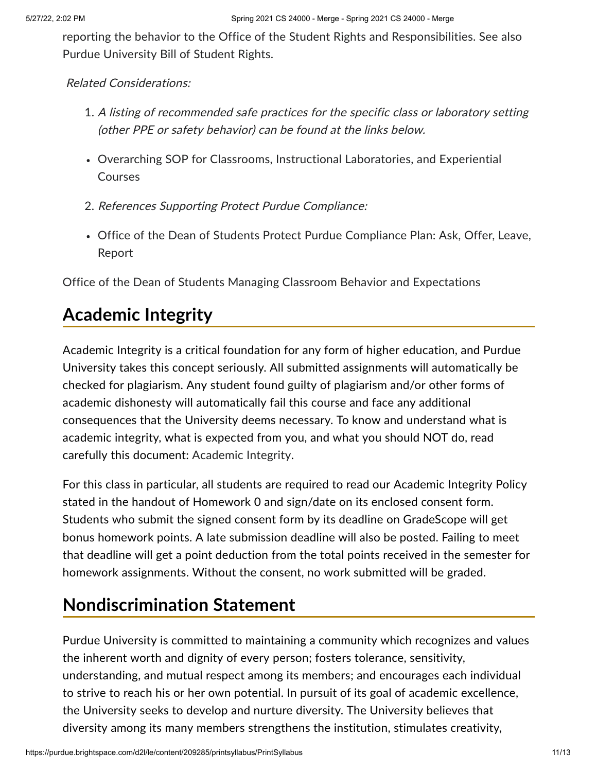reporting the behavior to the Office of the Student Rights and [Responsibilities](https://www.purdue.edu/odos/osrr/). See also Purdue [University](https://catalog.purdue.edu/content.php?catoid=7&navoid=2852#purdue-university-bill-of-student-rights) Bill of Student Rights.

#### Related Considerations:

- 1. A listing of recommended safe practices for the specific class or laboratory setting (other PPE or safety behavior) can be found at the links below.
- Overarching SOP for Classrooms, Instructional [Laboratories,](https://www.purdue.edu/innovativelearning/teaching-remotely/files/resources/SOP_Class_Lab_Experiential_Course_200723.pdf) and Experiential Courses
- 2. References Supporting Protect Purdue Compliance:
- Office of the Dean of Students Protect Purdue [Compliance](https://www.purdue.edu/odos/protect/compliance-plan.html) Plan: Ask, Offer, Leave, Report

Office of the Dean of Students Managing Classroom Behavior and [Expectations](https://www.purdue.edu/odos/osrr/resources/documents/managing_classroom_behavior.html)

#### **Academic Integrity**

Academic Integrity is a critical foundation for any form of higher education, and Purdue University takes this concept seriously. All submitted assignments will automatically be checked for plagiarism. Any student found guilty of plagiarism and/or other forms of academic dishonesty will automatically fail this course and face any additional consequences that the University deems necessary. To know and understand what is academic integrity, what is expected from you, and what you should NOT do, read carefully this document: [Academic](https://spaf.cerias.purdue.edu/integrity.html) Integrity.

For this class in particular, all students are required to read our Academic Integrity Policy stated in the handout of Homework 0 and sign/date on its enclosed consent form. Students who submit the signed consent form by its deadline on GradeScope will get bonus homework points. A late submission deadline will also be posted. Failing to meet that deadline will get a point deduction from the total points received in the semester for homework assignments. Without the consent, no work submitted will be graded.

## **Nondiscrimination Statement**

Purdue University is committed to maintaining a community which recognizes and values the inherent worth and dignity of every person; fosters tolerance, sensitivity, understanding, and mutual respect among its members; and encourages each individual to strive to reach his or her own potential. In pursuit of its goal of academic excellence, the University seeks to develop and nurture diversity. The University believes that diversity among its many members strengthens the institution, stimulates creativity,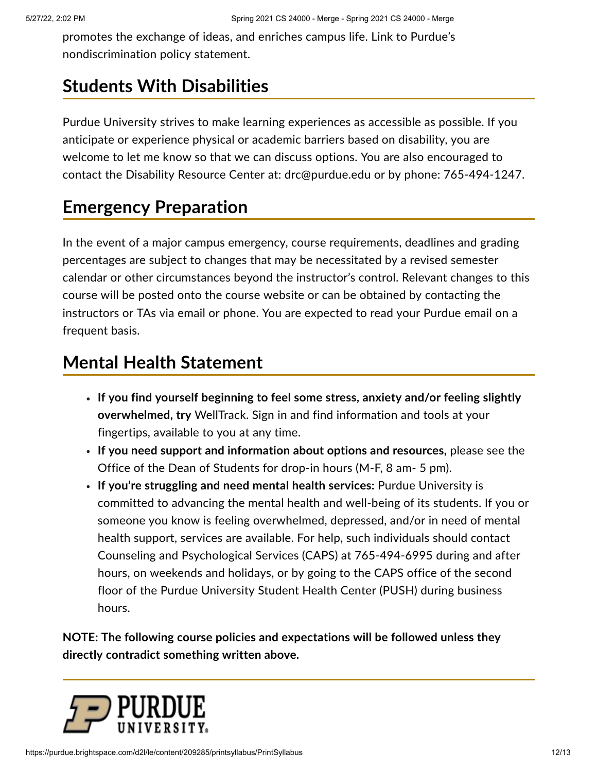promotes the exchange of ideas, and enriches campus life. Link to Purdue's [nondiscrimination](http://www.purdue.edu/purdue/ea_eou_statement.html) policy statement.

# **Students With Disabilities**

Purdue University strives to make learning experiences as accessible as possible. If you anticipate or experience physical or academic barriers based on disability, you are welcome to let me know so that we can discuss options. You are also encouraged to contact the Disability Resource Center at: [drc@purdue.edu](mailto:drc@purdue.edu) or by phone: 765-494-1247.

# **Emergency Preparation**

In the event of a major campus emergency, course requirements, deadlines and grading percentages are subject to changes that may be necessitated by a revised semester calendar or other circumstances beyond the instructor's control. Relevant changes to this course will be posted onto the course website or can be obtained by contacting the instructors or TAs via email or phone. You are expected to read your Purdue email on a frequent basis.

## **Mental Health Statement**

- **If you find yourself beginning to feel some stress, anxiety and/or feeling slightly overwhelmed, try** [WellTrack](https://purdue.welltrack.com/). Sign in and find information and tools at your fingertips, available to you at any time.
- **If you need support and information about options and resources,** please see the Office of the Dean of [Students](http://www.purdue.edu/odos) for drop-in hours (M-F, 8 am- 5 pm).
- **If you're struggling and need mental health services:** Purdue University is committed to advancing the mental health and well-being of its students. If you or someone you know is feeling overwhelmed, depressed, and/or in need of mental health support, services are available. For help, such individuals should contact Counseling and [Psychological](https://www.purdue.edu/caps/) Services (CAPS) at 765-494-6995 during and after hours, on weekends and holidays, or by going to the CAPS office of the second floor of the Purdue University Student Health Center (PUSH) during business hours.

**NOTE: The following course policies and expectations will be followed unless they directly contradict something written above.**

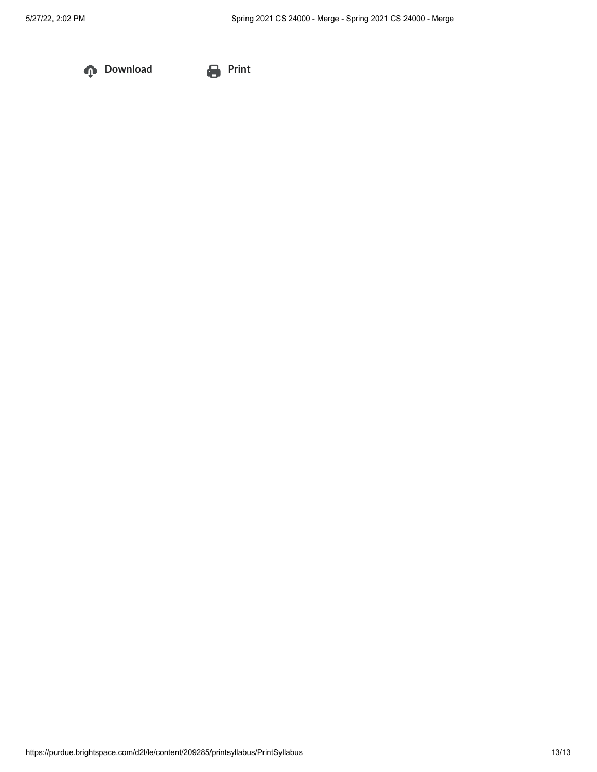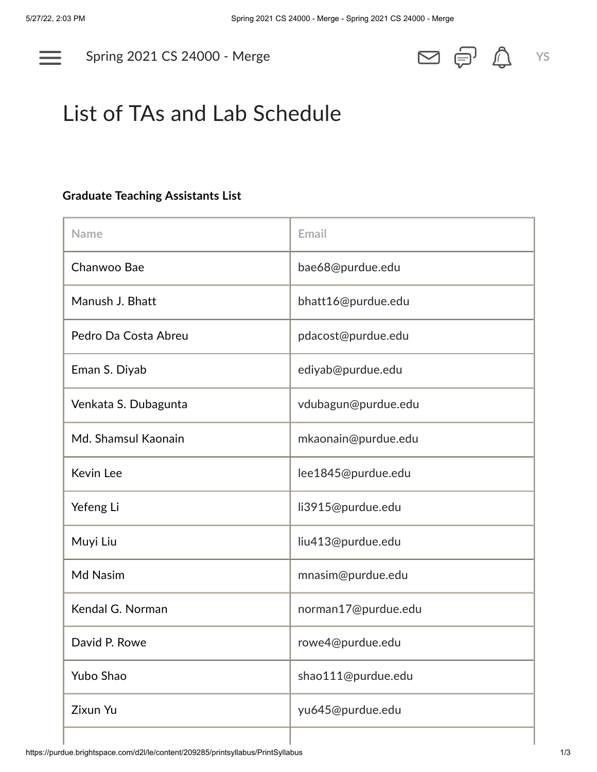

Spring 2021 CS [24000](https://purdue.brightspace.com/d2l/home/209285) - Merge **YS**



# List of TAs and Lab Schedule

#### **Graduate Teaching Assistants List**

| <b>Name</b>          | Email               |  |
|----------------------|---------------------|--|
| Chanwoo Bae          | bae68@purdue.edu    |  |
| Manush J. Bhatt      | bhatt16@purdue.edu  |  |
| Pedro Da Costa Abreu | pdacost@purdue.edu  |  |
| Eman S. Diyab        | ediyab@purdue.edu   |  |
| Venkata S. Dubagunta | vdubagun@purdue.edu |  |
| Md. Shamsul Kaonain  | mkaonain@purdue.edu |  |
| Kevin Lee            | lee1845@purdue.edu  |  |
| Yefeng Li            | li3915@purdue.edu   |  |
| Muyi Liu             | liu413@purdue.edu   |  |
| Md Nasim             | mnasim@purdue.edu   |  |
| Kendal G. Norman     | norman17@purdue.edu |  |
| David P. Rowe        | rowe4@purdue.edu    |  |
| Yubo Shao            | shao111@purdue.edu  |  |
| Zixun Yu             | yu645@purdue.edu    |  |
|                      |                     |  |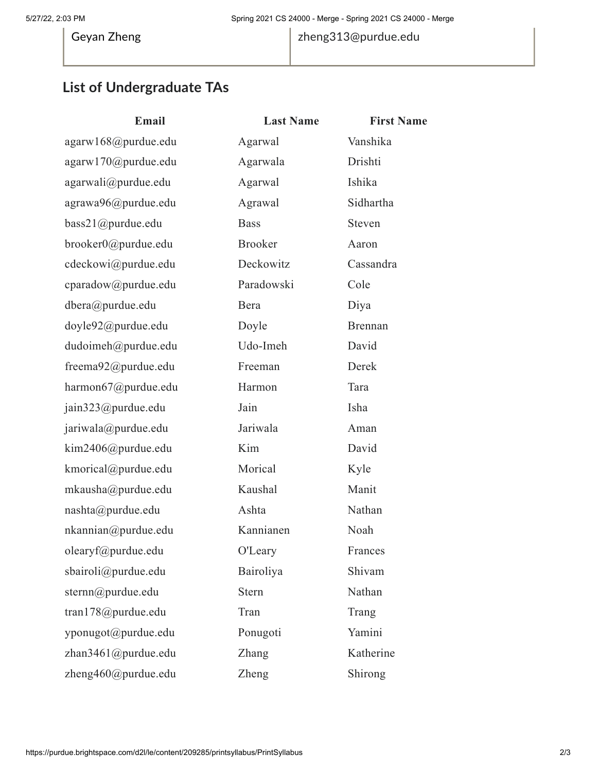#### 5/27/22, 2:03 PM Spring 2021 CS 24000 - Merge - Spring 2021 CS 24000 - Merge

Geyan Zheng [zheng313@purdue.edu](mailto:zheng313@purdue.edu)

#### **List of Undergraduate TAs**

| Email                   | <b>Last Name</b> | <b>First Name</b> |
|-------------------------|------------------|-------------------|
| agarw168@purdue.edu     | Agarwal          | Vanshika          |
| agarw170@purdue.edu     | Agarwala         | Drishti           |
| agarwali@purdue.edu     | Agarwal          | Ishika            |
| agrawa96@purdue.edu     | Agrawal          | Sidhartha         |
| bass21@purdue.edu       | <b>Bass</b>      | Steven            |
| brooker0@purdue.edu     | <b>Brooker</b>   | Aaron             |
| cdeckowi@purdue.edu     | Deckowitz        | Cassandra         |
| cparadow@purdue.edu     | Paradowski       | Cole              |
| dbera@purdue.edu        | Bera             | Diya              |
| doyle92@purdue.edu      | Doyle            | <b>Brennan</b>    |
| dudoimeh@purdue.edu     | Udo-Imeh         | David             |
| freema92@purdue.edu     | Freeman          | Derek             |
| harmon67@purdue.edu     | Harmon           | Tara              |
| jain323@purdue.edu      | Jain             | Isha              |
| jariwala@purdue.edu     | Jariwala         | Aman              |
| kim2406@purdue.edu      | Kim              | David             |
| kmorical@purdue.edu     | Morical          | Kyle              |
| mkausha@purdue.edu      | Kaushal          | Manit             |
| nashta@purdue.edu       | Ashta            | Nathan            |
| nkannian@purdue.edu     | Kannianen        | Noah              |
| olearyf@purdue.edu      | O'Leary          | Frances           |
| sbairoli@purdue.edu     | Bairoliya        | Shivam            |
| sternn@purdue.edu       | <b>Stern</b>     | Nathan            |
| tran178@purdue.edu      | Tran             | Trang             |
| yponugot@purdue.edu     | Ponugoti         | Yamini            |
| zhan $3461$ @purdue.edu | Zhang            | Katherine         |
| zheng460@purdue.edu     | Zheng            | Shirong           |